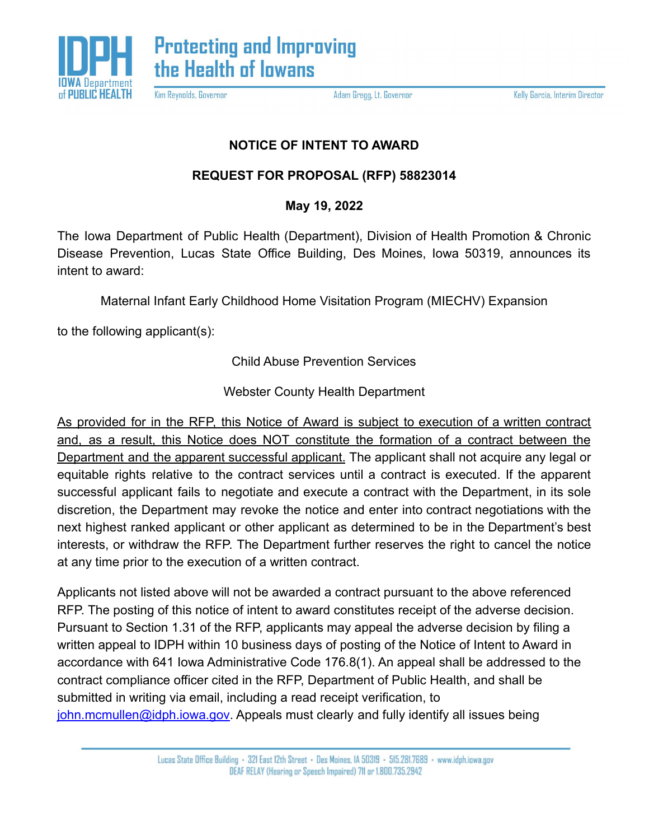

Kim Reynolds, Governor

Adam Gregg, Lt. Governor

Kelly Garcia, Interim Director

## **NOTICE OF INTENT TO AWARD**

## **REQUEST FOR PROPOSAL (RFP) 58823014**

## **May 19, 2022**

The Iowa Department of Public Health (Department), Division of Health Promotion & Chronic Disease Prevention, Lucas State Office Building, Des Moines, Iowa 50319, announces its intent to award:

Maternal Infant Early Childhood Home Visitation Program (MIECHV) Expansion

to the following applicant(s):

Child Abuse Prevention Services

Webster County Health Department

As provided for in the RFP, this Notice of Award is subject to execution of a written contract and, as a result, this Notice does NOT constitute the formation of a contract between the Department and the apparent successful applicant. The applicant shall not acquire any legal or equitable rights relative to the contract services until a contract is executed. If the apparent successful applicant fails to negotiate and execute a contract with the Department, in its sole discretion, the Department may revoke the notice and enter into contract negotiations with the next highest ranked applicant or other applicant as determined to be in the Department's best interests, or withdraw the RFP. The Department further reserves the right to cancel the notice at any time prior to the execution of a written contract.

Applicants not listed above will not be awarded a contract pursuant to the above referenced RFP. The posting of this notice of intent to award constitutes receipt of the adverse decision. Pursuant to Section 1.31 of the RFP, applicants may appeal the adverse decision by filing a written appeal to IDPH within 10 business days of posting of the Notice of Intent to Award in accordance with 641 Iowa Administrative Code 176.8(1). An appeal shall be addressed to the contract compliance officer cited in the RFP, Department of Public Health, and shall be submitted in writing via email, including a read receipt verification, to john.mcmullen@idph.jowa.gov. Appeals must clearly and fully identify all issues being